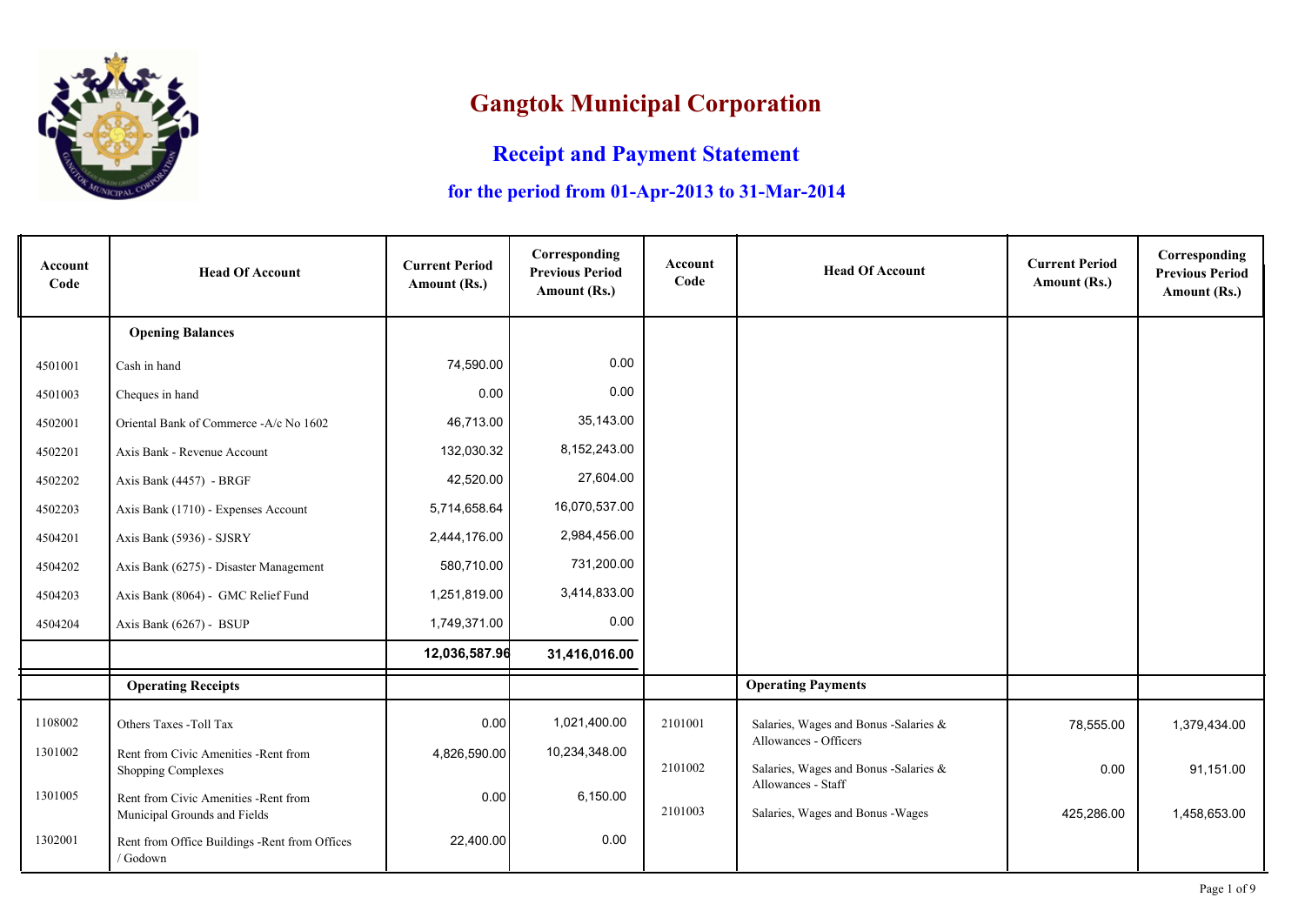

## **Gangtok Municipal Corporation**

## **Receipt and Payment Statement**

## **for the period from 01-Apr-2013 to 31-Mar-2014**

| Account<br>Code | <b>Head Of Account</b>                                                | <b>Current Period</b><br>Amount (Rs.) | Corresponding<br><b>Previous Period</b><br>Amount (Rs.) | <b>Account</b><br>Code | <b>Head Of Account</b>                                         | <b>Current Period</b><br>Amount (Rs.) | Corresponding<br><b>Previous Period</b><br>Amount (Rs.) |
|-----------------|-----------------------------------------------------------------------|---------------------------------------|---------------------------------------------------------|------------------------|----------------------------------------------------------------|---------------------------------------|---------------------------------------------------------|
|                 | <b>Opening Balances</b>                                               |                                       |                                                         |                        |                                                                |                                       |                                                         |
| 4501001         | Cash in hand                                                          | 74,590.00                             | 0.00                                                    |                        |                                                                |                                       |                                                         |
| 4501003         | Cheques in hand                                                       | 0.00                                  | 0.00                                                    |                        |                                                                |                                       |                                                         |
| 4502001         | Oriental Bank of Commerce -A/c No 1602                                | 46,713.00                             | 35,143.00                                               |                        |                                                                |                                       |                                                         |
| 4502201         | Axis Bank - Revenue Account                                           | 132,030.32                            | 8,152,243.00                                            |                        |                                                                |                                       |                                                         |
| 4502202         | Axis Bank (4457) - BRGF                                               | 42,520.00                             | 27,604.00                                               |                        |                                                                |                                       |                                                         |
| 4502203         | Axis Bank (1710) - Expenses Account                                   | 5,714,658.64                          | 16,070,537.00                                           |                        |                                                                |                                       |                                                         |
| 4504201         | Axis Bank (5936) - SJSRY                                              | 2,444,176.00                          | 2,984,456.00                                            |                        |                                                                |                                       |                                                         |
| 4504202         | Axis Bank (6275) - Disaster Management                                | 580,710.00                            | 731,200.00                                              |                        |                                                                |                                       |                                                         |
| 4504203         | Axis Bank (8064) - GMC Relief Fund                                    | 1,251,819.00                          | 3,414,833.00                                            |                        |                                                                |                                       |                                                         |
| 4504204         | Axis Bank (6267) - BSUP                                               | 1,749,371.00                          | 0.00                                                    |                        |                                                                |                                       |                                                         |
|                 |                                                                       | 12,036,587.96                         | 31,416,016.00                                           |                        |                                                                |                                       |                                                         |
|                 | <b>Operating Receipts</b>                                             |                                       |                                                         |                        | <b>Operating Payments</b>                                      |                                       |                                                         |
| 1108002         | Others Taxes -Toll Tax                                                | 0.00                                  | 1,021,400.00                                            | 2101001                | Salaries, Wages and Bonus -Salaries &                          | 78,555.00                             | 1,379,434.00                                            |
| 1301002         | Rent from Civic Amenities - Rent from<br>Shopping Complexes           | 4,826,590.00                          | 10,234,348.00                                           | 2101002                | Allowances - Officers<br>Salaries, Wages and Bonus -Salaries & | 0.00                                  | 91,151.00                                               |
| 1301005         | Rent from Civic Amenities - Rent from<br>Municipal Grounds and Fields | 0.00                                  | 6,150.00                                                | 2101003                | Allowances - Staff<br>Salaries, Wages and Bonus - Wages        | 425,286.00                            | 1,458,653.00                                            |
| 1302001         | Rent from Office Buildings -Rent from Offices<br>/ Godown             | 22,400.00                             | 0.00                                                    |                        |                                                                |                                       |                                                         |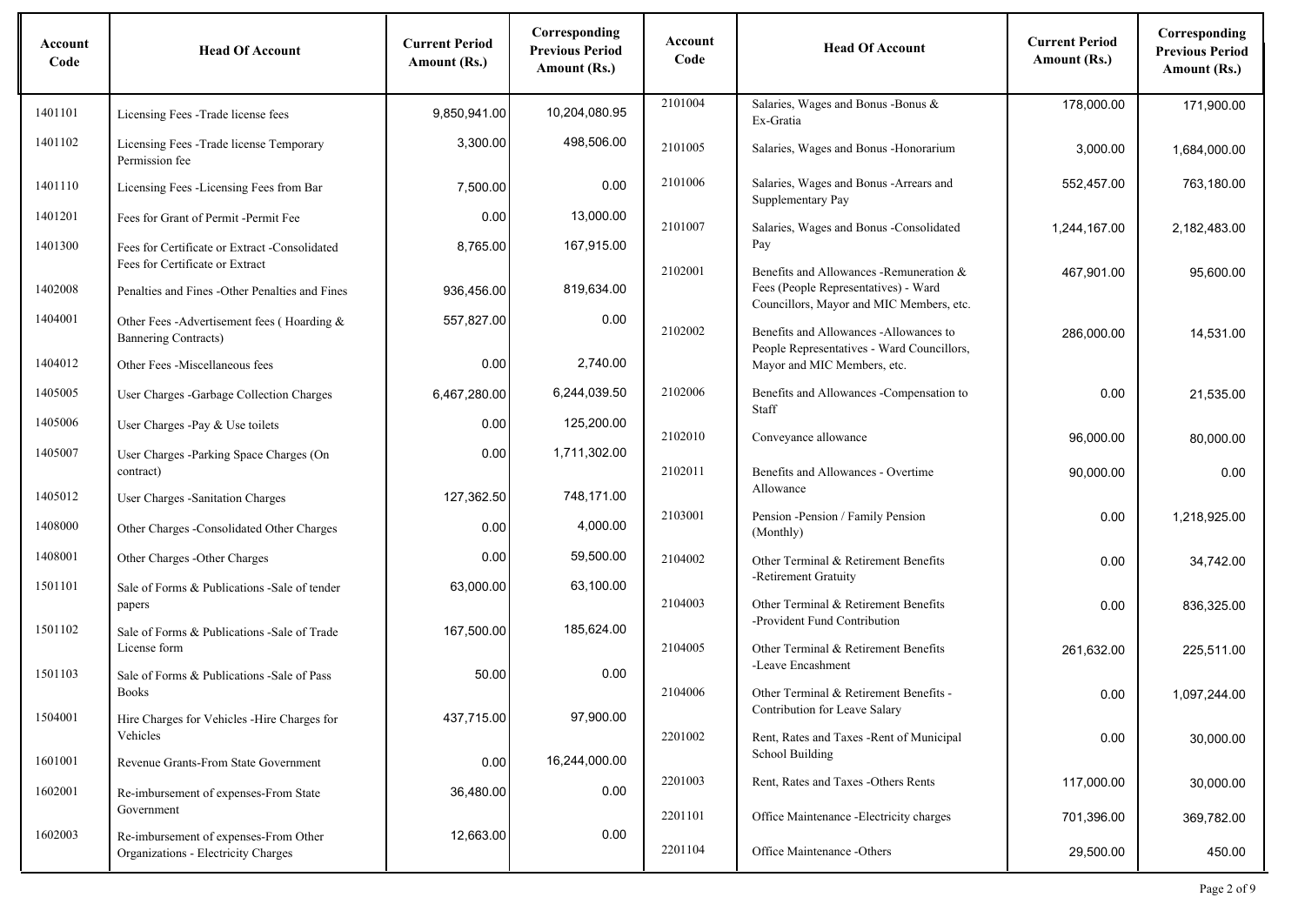| Account<br>Code | <b>Head Of Account</b>                                                           | <b>Current Period</b><br>Amount (Rs.) | Corresponding<br><b>Previous Period</b><br>Amount (Rs.) | Account<br>Code | <b>Head Of Account</b>                                                                                                      | <b>Current Period</b><br>Amount (Rs.) | Corresponding<br><b>Previous Period</b><br>Amount (Rs.) |
|-----------------|----------------------------------------------------------------------------------|---------------------------------------|---------------------------------------------------------|-----------------|-----------------------------------------------------------------------------------------------------------------------------|---------------------------------------|---------------------------------------------------------|
| 1401101         | Licensing Fees - Trade license fees                                              | 9,850,941.00                          | 10,204,080.95                                           | 2101004         | Salaries, Wages and Bonus - Bonus &<br>Ex-Gratia                                                                            | 178,000.00                            | 171,900.00                                              |
| 1401102         | Licensing Fees -Trade license Temporary<br>Permission fee                        | 3,300.00                              | 498,506.00                                              | 2101005         | Salaries, Wages and Bonus - Honorarium                                                                                      | 3,000.00                              | 1,684,000.00                                            |
| 1401110         | Licensing Fees -Licensing Fees from Bar                                          | 7,500.00                              | 0.00                                                    | 2101006         | Salaries, Wages and Bonus - Arrears and<br>Supplementary Pay                                                                | 552,457.00                            | 763,180.00                                              |
| 1401201         | Fees for Grant of Permit -Permit Fee                                             | 0.00                                  | 13,000.00                                               | 2101007         | Salaries, Wages and Bonus -Consolidated                                                                                     | 1,244,167.00                          | 2,182,483.00                                            |
| 1401300         | Fees for Certificate or Extract -Consolidated<br>Fees for Certificate or Extract | 8,765.00                              | 167,915.00                                              |                 | Pay                                                                                                                         |                                       |                                                         |
| 1402008         | Penalties and Fines - Other Penalties and Fines                                  | 936,456.00                            | 819,634.00                                              | 2102001         | Benefits and Allowances -Remuneration &<br>Fees (People Representatives) - Ward<br>Councillors, Mayor and MIC Members, etc. | 467,901.00                            | 95,600.00                                               |
| 1404001         | Other Fees -Advertisement fees (Hoarding &<br><b>Bannering Contracts)</b>        | 557,827.00                            | 0.00                                                    | 2102002         | Benefits and Allowances -Allowances to                                                                                      | 286,000.00                            | 14,531.00                                               |
| 1404012         | Other Fees -Miscellaneous fees                                                   | 0.00                                  | 2,740.00                                                |                 | People Representatives - Ward Councillors,<br>Mayor and MIC Members, etc.                                                   |                                       |                                                         |
| 1405005         | User Charges - Garbage Collection Charges                                        | 6,467,280.00                          | 6,244,039.50                                            | 2102006         | Benefits and Allowances -Compensation to<br>Staff                                                                           | 0.00                                  | 21,535.00                                               |
| 1405006         | User Charges -Pay & Use toilets                                                  | 0.00                                  | 125,200.00                                              | 2102010         | Conveyance allowance                                                                                                        | 96,000.00                             | 80,000.00                                               |
| 1405007         | User Charges -Parking Space Charges (On<br>contract)                             | 0.00                                  | 1,711,302.00                                            | 2102011         | Benefits and Allowances - Overtime                                                                                          | 90,000.00                             | 0.00                                                    |
| 1405012         | User Charges -Sanitation Charges                                                 | 127,362.50                            | 748,171.00                                              |                 | Allowance                                                                                                                   |                                       |                                                         |
| 1408000         | Other Charges -Consolidated Other Charges                                        | 0.00                                  | 4,000.00                                                | 2103001         | Pension - Pension / Family Pension<br>(Monthly)                                                                             | 0.00                                  | 1,218,925.00                                            |
| 1408001         | Other Charges - Other Charges                                                    | 0.00                                  | 59,500.00                                               | 2104002         | Other Terminal & Retirement Benefits                                                                                        | 0.00                                  | 34,742.00                                               |
| 1501101         | Sale of Forms & Publications - Sale of tender<br>papers                          | 63,000.00                             | 63,100.00                                               | 2104003         | -Retirement Gratuity<br>Other Terminal & Retirement Benefits                                                                | 0.00                                  | 836,325.00                                              |
| 1501102         | Sale of Forms & Publications - Sale of Trade                                     | 167,500.00                            | 185,624.00                                              |                 | -Provident Fund Contribution                                                                                                |                                       |                                                         |
|                 | License form                                                                     |                                       |                                                         | 2104005         | Other Terminal & Retirement Benefits<br>-Leave Encashment                                                                   | 261,632.00                            | 225,511.00                                              |
| 1501103         | Sale of Forms & Publications - Sale of Pass<br><b>Books</b>                      | 50.00                                 | 0.00                                                    | 2104006         | Other Terminal & Retirement Benefits -                                                                                      | 0.00                                  | 1,097,244.00                                            |
| 1504001         | Hire Charges for Vehicles - Hire Charges for                                     | 437,715.00                            | 97,900.00                                               |                 | Contribution for Leave Salary                                                                                               |                                       |                                                         |
| 1601001         | Vehicles<br>Revenue Grants-From State Government                                 | 0.00                                  | 16,244,000.00                                           | 2201002         | Rent, Rates and Taxes - Rent of Municipal<br>School Building                                                                | 0.00                                  | 30,000.00                                               |
| 1602001         | Re-imbursement of expenses-From State                                            | 36,480.00                             | 0.00                                                    | 2201003         | Rent, Rates and Taxes -Others Rents                                                                                         | 117,000.00                            | 30,000.00                                               |
|                 | Government                                                                       |                                       |                                                         | 2201101         | Office Maintenance -Electricity charges                                                                                     | 701,396.00                            | 369,782.00                                              |
| 1602003         | Re-imbursement of expenses-From Other<br>Organizations - Electricity Charges     | 12,663.00                             | 0.00                                                    | 2201104         | Office Maintenance -Others                                                                                                  | 29,500.00                             | 450.00                                                  |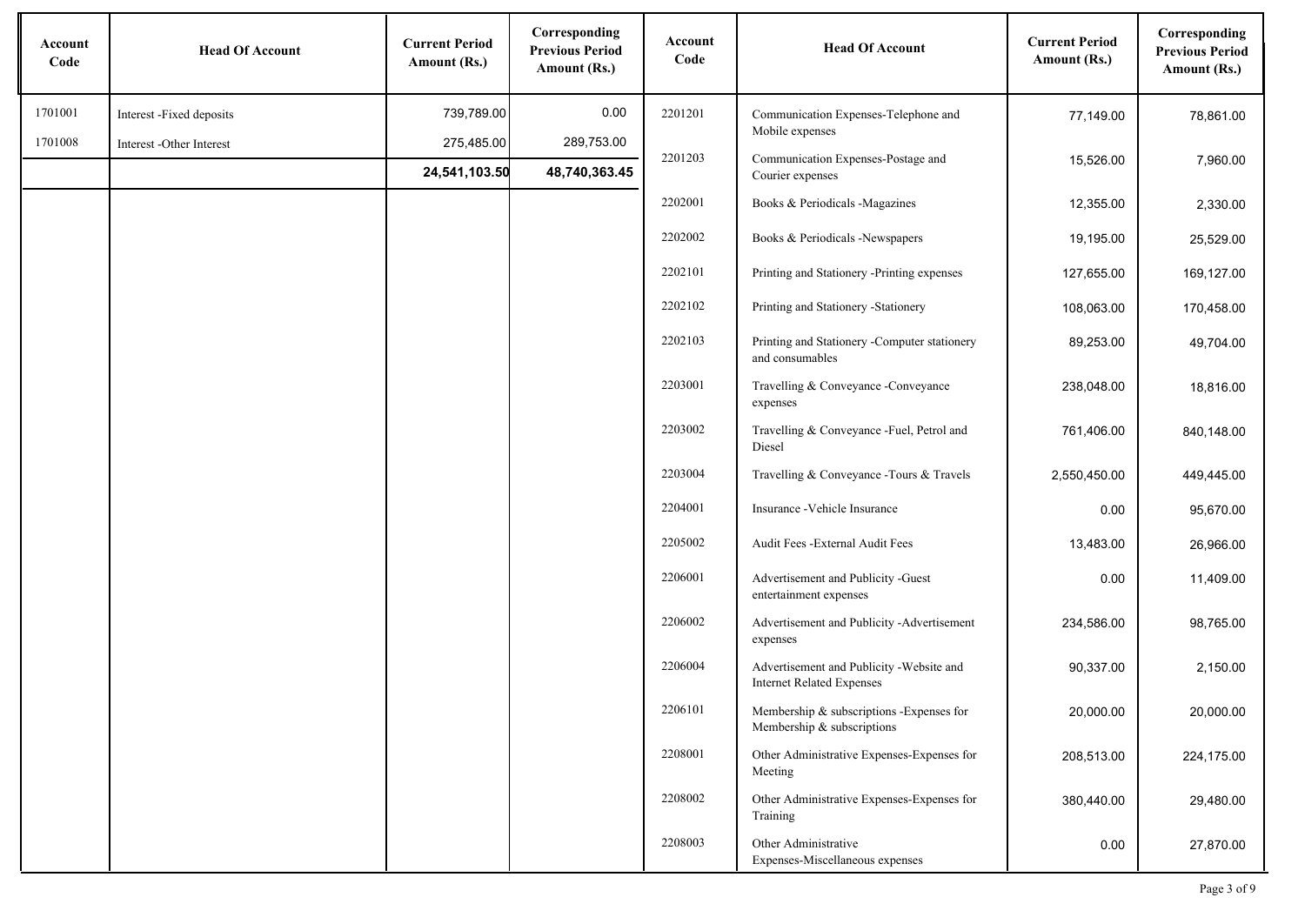| Account<br>Code | <b>Head Of Account</b>   | <b>Current Period</b><br>Amount (Rs.) | Corresponding<br><b>Previous Period</b><br>Amount (Rs.) | Account<br>Code | <b>Head Of Account</b>                                                       | <b>Current Period</b><br>Amount (Rs.) | Corresponding<br><b>Previous Period</b><br>Amount (Rs.) |
|-----------------|--------------------------|---------------------------------------|---------------------------------------------------------|-----------------|------------------------------------------------------------------------------|---------------------------------------|---------------------------------------------------------|
| 1701001         | Interest -Fixed deposits | 739,789.00                            | 0.00                                                    | 2201201         | Communication Expenses-Telephone and                                         | 77,149.00                             | 78,861.00                                               |
| 1701008         | Interest -Other Interest | 275,485.00                            | 289,753.00                                              |                 | Mobile expenses                                                              |                                       |                                                         |
|                 |                          | 24,541,103.50                         | 48,740,363.45                                           | 2201203         | Communication Expenses-Postage and<br>Courier expenses                       | 15,526.00                             | 7,960.00                                                |
|                 |                          |                                       |                                                         | 2202001         | Books & Periodicals -Magazines                                               | 12,355.00                             | 2,330.00                                                |
|                 |                          |                                       |                                                         | 2202002         | Books & Periodicals -Newspapers                                              | 19,195.00                             | 25,529.00                                               |
|                 |                          |                                       |                                                         | 2202101         | Printing and Stationery -Printing expenses                                   | 127,655.00                            | 169,127.00                                              |
|                 |                          |                                       |                                                         | 2202102         | Printing and Stationery -Stationery                                          | 108,063.00                            | 170,458.00                                              |
|                 |                          |                                       |                                                         | 2202103         | Printing and Stationery -Computer stationery<br>and consumables              | 89,253.00                             | 49,704.00                                               |
|                 |                          |                                       |                                                         | 2203001         | Travelling & Conveyance - Conveyance<br>expenses                             | 238,048.00                            | 18,816.00                                               |
|                 |                          |                                       |                                                         | 2203002         | Travelling & Conveyance -Fuel, Petrol and<br>Diesel                          | 761,406.00                            | 840,148.00                                              |
|                 |                          |                                       |                                                         | 2203004         | Travelling & Conveyance - Tours & Travels                                    | 2,550,450.00                          | 449,445.00                                              |
|                 |                          |                                       |                                                         | 2204001         | Insurance - Vehicle Insurance                                                | 0.00                                  | 95,670.00                                               |
|                 |                          |                                       |                                                         | 2205002         | Audit Fees - External Audit Fees                                             | 13,483.00                             | 26,966.00                                               |
|                 |                          |                                       |                                                         | 2206001         | Advertisement and Publicity -Guest<br>entertainment expenses                 | 0.00                                  | 11,409.00                                               |
|                 |                          |                                       |                                                         | 2206002         | Advertisement and Publicity -Advertisement<br>expenses                       | 234,586.00                            | 98,765.00                                               |
|                 |                          |                                       |                                                         | 2206004         | Advertisement and Publicity -Website and<br><b>Internet Related Expenses</b> | 90,337.00                             | 2,150.00                                                |
|                 |                          |                                       |                                                         | 2206101         | Membership & subscriptions -Expenses for<br>Membership & subscriptions       | 20,000.00                             | 20,000.00                                               |
|                 |                          |                                       |                                                         | 2208001         | Other Administrative Expenses-Expenses for<br>Meeting                        | 208,513.00                            | 224,175.00                                              |
|                 |                          |                                       |                                                         | 2208002         | Other Administrative Expenses-Expenses for<br>Training                       | 380,440.00                            | 29,480.00                                               |
|                 |                          |                                       |                                                         | 2208003         | Other Administrative<br>Expenses-Miscellaneous expenses                      | 0.00                                  | 27,870.00                                               |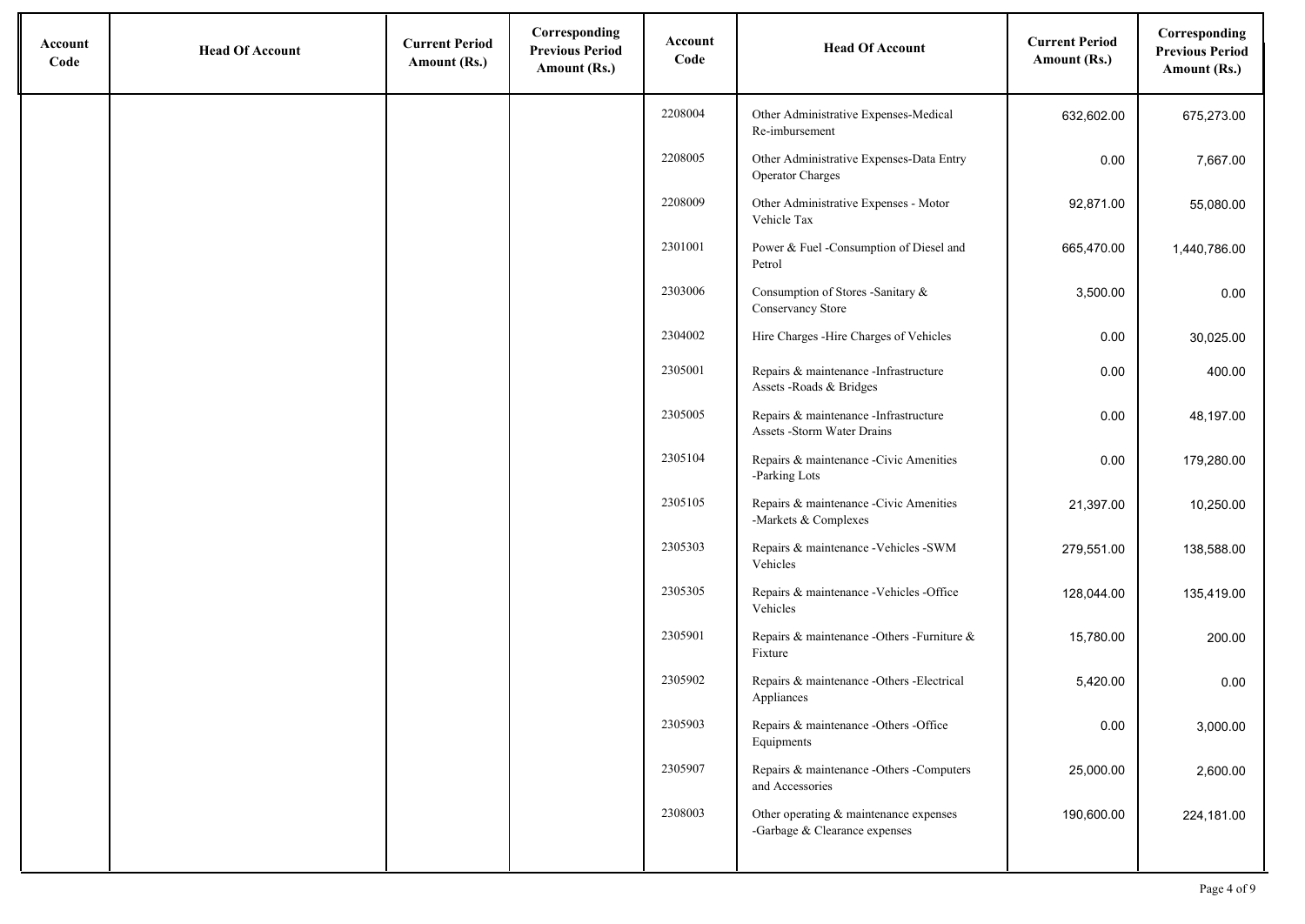| Account<br>Code | <b>Head Of Account</b> | <b>Current Period</b><br>Amount (Rs.) | Corresponding<br><b>Previous Period</b><br>Amount (Rs.) | Account<br>Code | <b>Head Of Account</b>                                                  | <b>Current Period</b><br>Amount (Rs.) | Corresponding<br><b>Previous Period</b><br>Amount (Rs.) |
|-----------------|------------------------|---------------------------------------|---------------------------------------------------------|-----------------|-------------------------------------------------------------------------|---------------------------------------|---------------------------------------------------------|
|                 |                        |                                       |                                                         | 2208004         | Other Administrative Expenses-Medical<br>Re-imbursement                 | 632,602.00                            | 675,273.00                                              |
|                 |                        |                                       |                                                         | 2208005         | Other Administrative Expenses-Data Entry<br><b>Operator Charges</b>     | 0.00                                  | 7,667.00                                                |
|                 |                        |                                       |                                                         | 2208009         | Other Administrative Expenses - Motor<br>Vehicle Tax                    | 92,871.00                             | 55,080.00                                               |
|                 |                        |                                       |                                                         | 2301001         | Power & Fuel -Consumption of Diesel and<br>Petrol                       | 665,470.00                            | 1,440,786.00                                            |
|                 |                        |                                       |                                                         | 2303006         | Consumption of Stores -Sanitary &<br>Conservancy Store                  | 3,500.00                              | 0.00                                                    |
|                 |                        |                                       |                                                         | 2304002         | Hire Charges - Hire Charges of Vehicles                                 | 0.00                                  | 30,025.00                                               |
|                 |                        |                                       |                                                         | 2305001         | Repairs & maintenance -Infrastructure<br>Assets - Roads & Bridges       | 0.00                                  | 400.00                                                  |
|                 |                        |                                       |                                                         | 2305005         | Repairs & maintenance -Infrastructure<br>Assets -Storm Water Drains     | 0.00                                  | 48,197.00                                               |
|                 |                        |                                       |                                                         | 2305104         | Repairs & maintenance -Civic Amenities<br>-Parking Lots                 | 0.00                                  | 179,280.00                                              |
|                 |                        |                                       |                                                         | 2305105         | Repairs & maintenance -Civic Amenities<br>-Markets & Complexes          | 21,397.00                             | 10,250.00                                               |
|                 |                        |                                       |                                                         | 2305303         | Repairs & maintenance -Vehicles -SWM<br>Vehicles                        | 279,551.00                            | 138,588.00                                              |
|                 |                        |                                       |                                                         | 2305305         | Repairs & maintenance - Vehicles - Office<br>Vehicles                   | 128,044.00                            | 135,419.00                                              |
|                 |                        |                                       |                                                         | 2305901         | Repairs & maintenance -Others -Furniture &<br>Fixture                   | 15,780.00                             | 200.00                                                  |
|                 |                        |                                       |                                                         | 2305902         | Repairs & maintenance -Others -Electrical<br>Appliances                 | 5,420.00                              | 0.00                                                    |
|                 |                        |                                       |                                                         | 2305903         | Repairs & maintenance -Others -Office<br>Equipments                     | 0.00                                  | 3,000.00                                                |
|                 |                        |                                       |                                                         | 2305907         | Repairs & maintenance -Others -Computers<br>and Accessories             | 25,000.00                             | 2,600.00                                                |
|                 |                        |                                       |                                                         | 2308003         | Other operating & maintenance expenses<br>-Garbage & Clearance expenses | 190,600.00                            | 224,181.00                                              |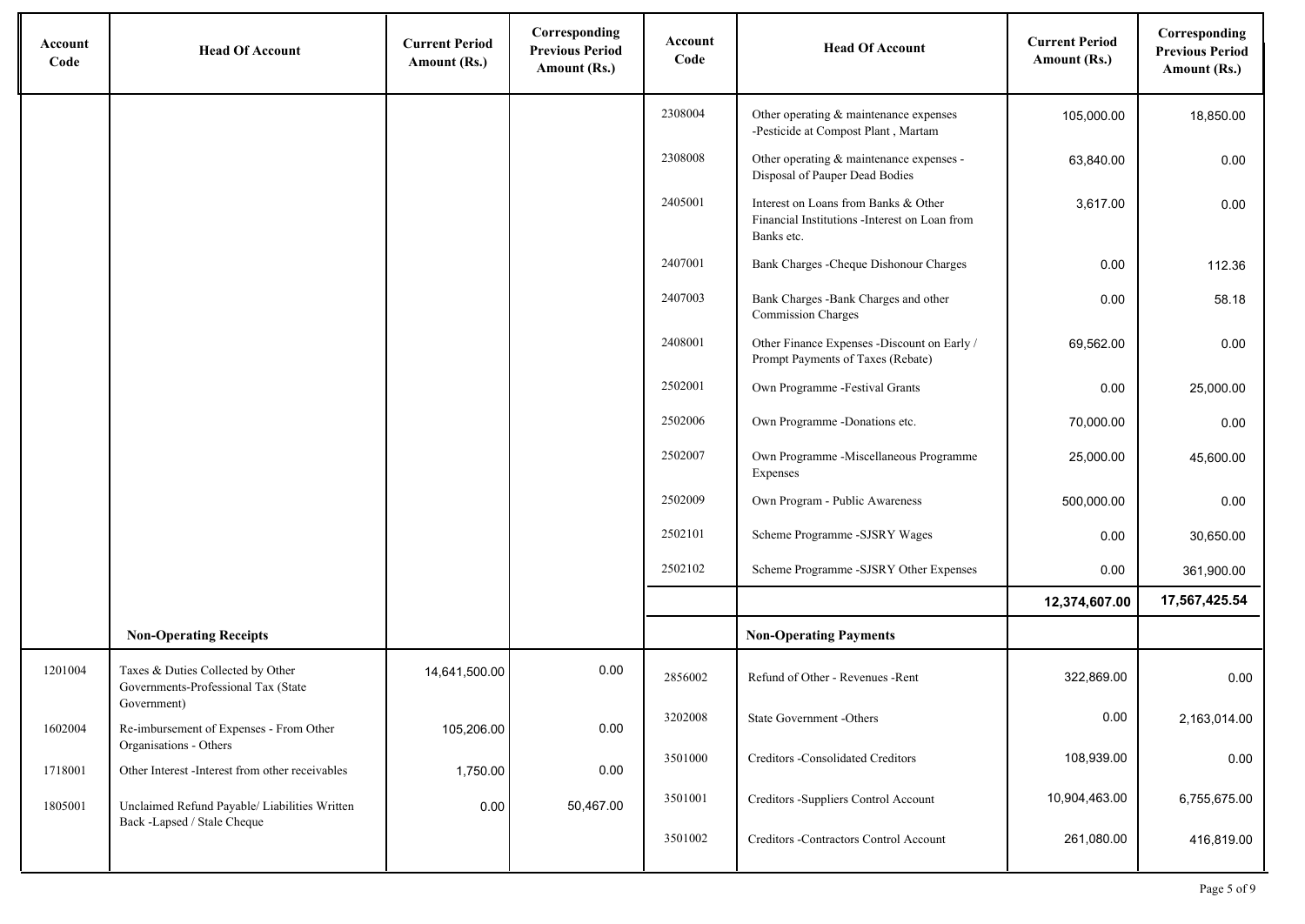| Account<br>Code | <b>Head Of Account</b>                                                                  | <b>Current Period</b><br>Amount (Rs.) | Corresponding<br><b>Previous Period</b><br>Amount (Rs.) | Account<br>Code | <b>Head Of Account</b>                                                                              | <b>Current Period</b><br>Amount (Rs.) | Corresponding<br><b>Previous Period</b><br>Amount (Rs.) |
|-----------------|-----------------------------------------------------------------------------------------|---------------------------------------|---------------------------------------------------------|-----------------|-----------------------------------------------------------------------------------------------------|---------------------------------------|---------------------------------------------------------|
|                 |                                                                                         |                                       |                                                         | 2308004         | Other operating & maintenance expenses<br>-Pesticide at Compost Plant, Martam                       | 105,000.00                            | 18,850.00                                               |
|                 |                                                                                         |                                       |                                                         | 2308008         | Other operating & maintenance expenses -<br>Disposal of Pauper Dead Bodies                          | 63,840.00                             | 0.00                                                    |
|                 |                                                                                         |                                       |                                                         | 2405001         | Interest on Loans from Banks & Other<br>Financial Institutions -Interest on Loan from<br>Banks etc. | 3,617.00                              | 0.00                                                    |
|                 |                                                                                         |                                       |                                                         | 2407001         | Bank Charges - Cheque Dishonour Charges                                                             | 0.00                                  | 112.36                                                  |
|                 |                                                                                         |                                       |                                                         | 2407003         | Bank Charges -Bank Charges and other<br><b>Commission Charges</b>                                   | 0.00                                  | 58.18                                                   |
|                 |                                                                                         |                                       |                                                         | 2408001         | Other Finance Expenses -Discount on Early /<br>Prompt Payments of Taxes (Rebate)                    | 69,562.00                             | 0.00                                                    |
|                 |                                                                                         |                                       |                                                         | 2502001         | Own Programme -Festival Grants                                                                      | 0.00                                  | 25,000.00                                               |
|                 |                                                                                         |                                       |                                                         | 2502006         | Own Programme -Donations etc.                                                                       | 70,000.00                             | 0.00                                                    |
|                 |                                                                                         |                                       |                                                         | 2502007         | Own Programme -Miscellaneous Programme<br>Expenses                                                  | 25,000.00                             | 45,600.00                                               |
|                 |                                                                                         |                                       |                                                         | 2502009         | Own Program - Public Awareness                                                                      | 500,000.00                            | 0.00                                                    |
|                 |                                                                                         |                                       |                                                         | 2502101         | Scheme Programme -SJSRY Wages                                                                       | 0.00                                  | 30,650.00                                               |
|                 |                                                                                         |                                       |                                                         | 2502102         | Scheme Programme -SJSRY Other Expenses                                                              | 0.00                                  | 361,900.00                                              |
|                 |                                                                                         |                                       |                                                         |                 |                                                                                                     | 12,374,607.00                         | 17,567,425.54                                           |
|                 | <b>Non-Operating Receipts</b>                                                           |                                       |                                                         |                 | <b>Non-Operating Payments</b>                                                                       |                                       |                                                         |
| 1201004         | Taxes & Duties Collected by Other<br>Governments-Professional Tax (State<br>Government) | 14,641,500.00                         | 0.00                                                    | 2856002         | Refund of Other - Revenues - Rent                                                                   | 322,869.00                            | 0.00                                                    |
| 1602004         | Re-imbursement of Expenses - From Other<br>Organisations - Others                       | 105,206.00                            | 0.00                                                    | 3202008         | State Government -Others                                                                            | 0.00                                  | 2,163,014.00                                            |
| 1718001         | Other Interest -Interest from other receivables                                         | 1,750.00                              | 0.00                                                    | 3501000         | Creditors -Consolidated Creditors                                                                   | 108,939.00                            | 0.00                                                    |
| 1805001         | Unclaimed Refund Payable/ Liabilities Written<br>Back -Lapsed / Stale Cheque            | 0.00                                  | 50,467.00                                               | 3501001         | Creditors -Suppliers Control Account                                                                | 10,904,463.00                         | 6,755,675.00                                            |
|                 |                                                                                         |                                       |                                                         | 3501002         | Creditors -Contractors Control Account                                                              | 261,080.00                            | 416,819.00                                              |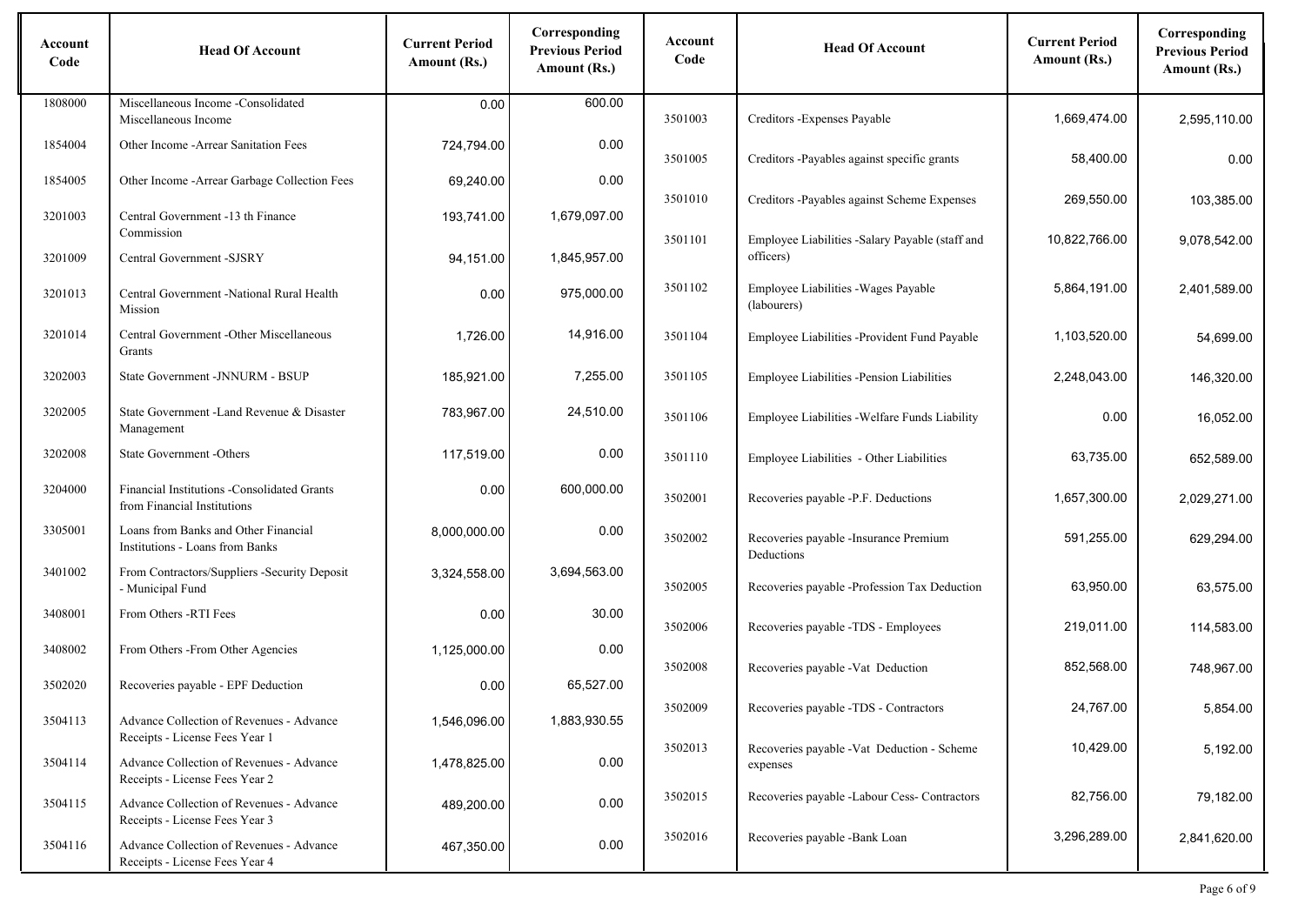| Account<br>Code | <b>Head Of Account</b>                                                             | <b>Current Period</b><br>Amount (Rs.) | Corresponding<br><b>Previous Period</b><br>Amount (Rs.) | Account<br>Code | <b>Head Of Account</b>                                       | <b>Current Period</b><br>Amount (Rs.) | Corresponding<br><b>Previous Period</b><br>Amount (Rs.) |
|-----------------|------------------------------------------------------------------------------------|---------------------------------------|---------------------------------------------------------|-----------------|--------------------------------------------------------------|---------------------------------------|---------------------------------------------------------|
| 1808000         | Miscellaneous Income -Consolidated<br>Miscellaneous Income                         | 0.00                                  | 600.00                                                  | 3501003         | Creditors - Expenses Payable                                 | 1,669,474.00                          | 2,595,110.00                                            |
| 1854004         | Other Income - Arrear Sanitation Fees                                              | 724,794.00                            | 0.00                                                    | 3501005         | Creditors -Payables against specific grants                  | 58,400.00                             | 0.00                                                    |
| 1854005         | Other Income - Arrear Garbage Collection Fees                                      | 69,240.00                             | 0.00                                                    |                 |                                                              |                                       |                                                         |
| 3201003         | Central Government -13 th Finance<br>Commission                                    | 193,741.00                            | 1,679,097.00                                            | 3501010         | Creditors -Payables against Scheme Expenses                  | 269,550.00                            | 103.385.00                                              |
| 3201009         | Central Government -SJSRY                                                          | 94,151.00                             | 1,845,957.00                                            | 3501101         | Employee Liabilities -Salary Payable (staff and<br>officers) | 10,822,766.00                         | 9,078,542.00                                            |
| 3201013         | Central Government -National Rural Health<br>Mission                               | 0.00                                  | 975,000.00                                              | 3501102         | Employee Liabilities - Wages Payable<br>(labourers)          | 5,864,191.00                          | 2,401,589.00                                            |
| 3201014         | Central Government -Other Miscellaneous<br>Grants                                  | 1,726.00                              | 14,916.00                                               | 3501104         | Employee Liabilities -Provident Fund Payable                 | 1,103,520.00                          | 54,699.00                                               |
| 3202003         | State Government -JNNURM - BSUP                                                    | 185.921.00                            | 7,255.00                                                | 3501105         | Employee Liabilities -Pension Liabilities                    | 2,248,043.00                          | 146,320.00                                              |
| 3202005         | State Government -Land Revenue & Disaster<br>Management                            | 783,967.00                            | 24,510.00                                               | 3501106         | Employee Liabilities - Welfare Funds Liability               | 0.00                                  | 16,052.00                                               |
| 3202008         | State Government -Others                                                           | 117,519.00                            | 0.00                                                    | 3501110         | Employee Liabilities - Other Liabilities                     | 63,735.00                             | 652,589.00                                              |
| 3204000         | <b>Financial Institutions - Consolidated Grants</b><br>from Financial Institutions | 0.00                                  | 600,000.00                                              | 3502001         | Recoveries payable -P.F. Deductions                          | 1,657,300.00                          | 2,029,271.00                                            |
| 3305001         | Loans from Banks and Other Financial<br><b>Institutions - Loans from Banks</b>     | 8,000,000.00                          | 0.00                                                    | 3502002         | Recoveries payable -Insurance Premium<br>Deductions          | 591,255.00                            | 629,294.00                                              |
| 3401002         | From Contractors/Suppliers -Security Deposit<br>- Municipal Fund                   | 3,324,558.00                          | 3,694,563.00                                            | 3502005         | Recoveries payable -Profession Tax Deduction                 | 63,950.00                             | 63,575.00                                               |
| 3408001         | From Others -RTI Fees                                                              | 0.00                                  | 30.00                                                   | 3502006         | Recoveries payable -TDS - Employees                          | 219,011.00                            | 114,583.00                                              |
| 3408002         | From Others - From Other Agencies                                                  | 1,125,000.00                          | 0.00                                                    | 3502008         | Recoveries payable - Vat Deduction                           | 852,568.00                            | 748,967.00                                              |
| 3502020         | Recoveries payable - EPF Deduction                                                 | 0.00                                  | 65,527.00                                               |                 |                                                              |                                       |                                                         |
| 3504113         | Advance Collection of Revenues - Advance<br>Receipts - License Fees Year 1         | 1,546,096.00                          | 1,883,930.55                                            | 3502009         | Recoveries payable -TDS - Contractors                        | 24,767.00                             | 5,854.00                                                |
| 3504114         | Advance Collection of Revenues - Advance<br>Receipts - License Fees Year 2         | 1,478,825.00                          | 0.00                                                    | 3502013         | Recoveries payable -Vat Deduction - Scheme<br>expenses       | 10,429.00                             | 5,192.00                                                |
| 3504115         | Advance Collection of Revenues - Advance<br>Receipts - License Fees Year 3         | 489,200.00                            | 0.00                                                    | 3502015         | Recoveries payable -Labour Cess- Contractors                 | 82,756.00                             | 79,182.00                                               |
| 3504116         | Advance Collection of Revenues - Advance<br>Receipts - License Fees Year 4         | 467,350.00                            | 0.00                                                    | 3502016         | Recoveries payable -Bank Loan                                | 3,296,289.00                          | 2,841,620.00                                            |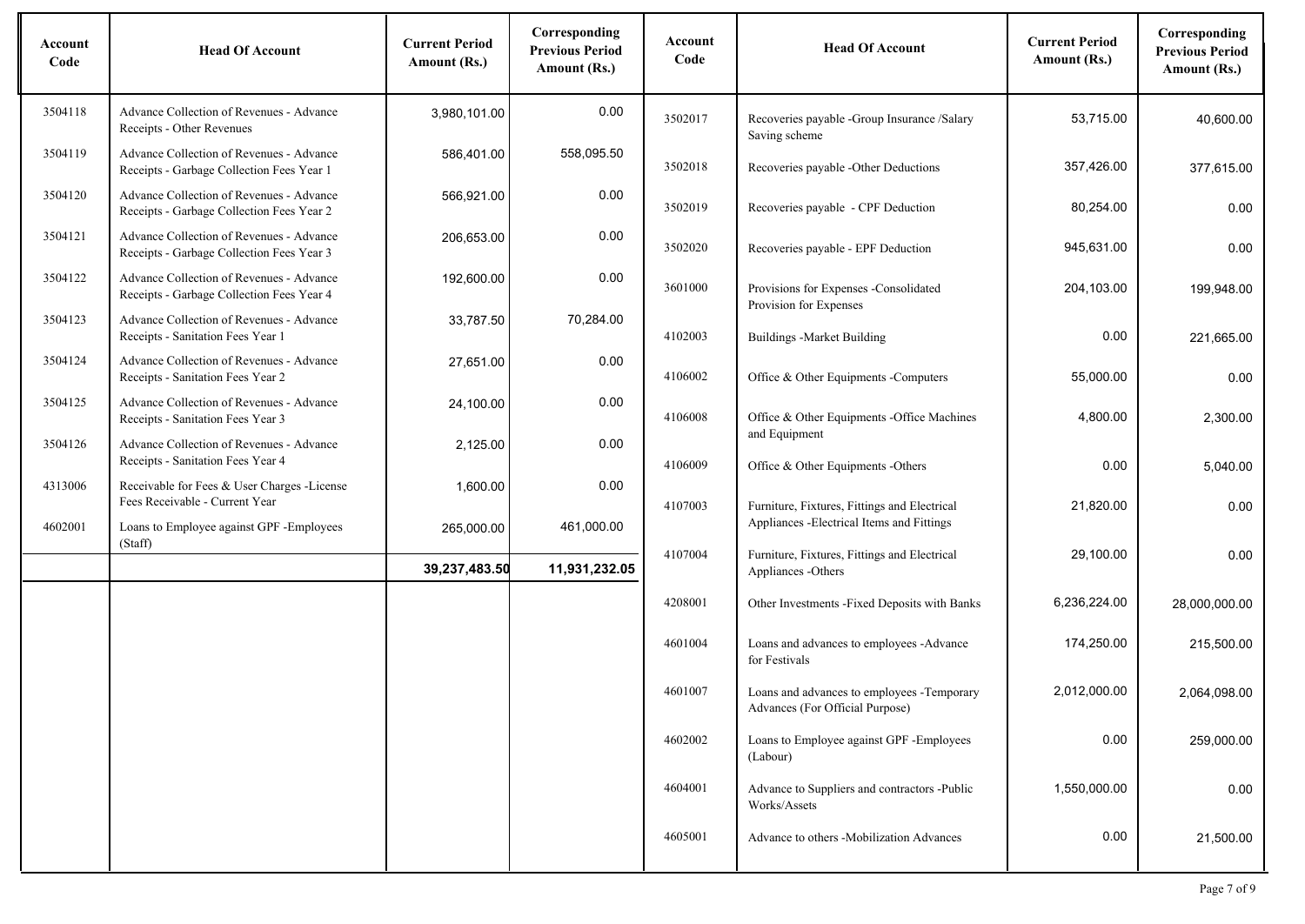| Account<br>Code | <b>Head Of Account</b>                                                                | <b>Current Period</b><br>Amount (Rs.) | Corresponding<br><b>Previous Period</b><br>Amount (Rs.) | Account<br>Code | <b>Head Of Account</b>                                                                     | <b>Current Period</b><br>Amount (Rs.) | Corresponding<br><b>Previous Period</b><br>Amount (Rs.) |
|-----------------|---------------------------------------------------------------------------------------|---------------------------------------|---------------------------------------------------------|-----------------|--------------------------------------------------------------------------------------------|---------------------------------------|---------------------------------------------------------|
| 3504118         | Advance Collection of Revenues - Advance<br>Receipts - Other Revenues                 | 3,980,101.00                          | 0.00                                                    | 3502017         | Recoveries payable -Group Insurance /Salary<br>Saving scheme                               | 53,715.00                             | 40,600.00                                               |
| 3504119         | Advance Collection of Revenues - Advance<br>Receipts - Garbage Collection Fees Year 1 | 586,401.00                            | 558,095.50                                              | 3502018         | Recoveries payable -Other Deductions                                                       | 357,426.00                            | 377,615.00                                              |
| 3504120         | Advance Collection of Revenues - Advance<br>Receipts - Garbage Collection Fees Year 2 | 566,921.00                            | 0.00                                                    | 3502019         | Recoveries payable - CPF Deduction                                                         | 80,254.00                             | 0.00                                                    |
| 3504121         | Advance Collection of Revenues - Advance<br>Receipts - Garbage Collection Fees Year 3 | 206,653.00                            | 0.00                                                    | 3502020         | Recoveries payable - EPF Deduction                                                         | 945,631.00                            | 0.00                                                    |
| 3504122         | Advance Collection of Revenues - Advance<br>Receipts - Garbage Collection Fees Year 4 | 192,600.00                            | 0.00                                                    | 3601000         | Provisions for Expenses -Consolidated<br>Provision for Expenses                            | 204,103.00                            | 199,948.00                                              |
| 3504123         | Advance Collection of Revenues - Advance<br>Receipts - Sanitation Fees Year 1         | 33,787.50                             | 70,284.00                                               | 4102003         | <b>Buildings -Market Building</b>                                                          | 0.00                                  | 221,665.00                                              |
| 3504124         | Advance Collection of Revenues - Advance<br>Receipts - Sanitation Fees Year 2         | 27,651.00                             | 0.00                                                    | 4106002         | Office & Other Equipments - Computers                                                      | 55,000.00                             | 0.00                                                    |
| 3504125         | Advance Collection of Revenues - Advance<br>Receipts - Sanitation Fees Year 3         | 24,100.00                             | 0.00                                                    | 4106008         | Office & Other Equipments -Office Machines                                                 | 4,800.00                              | 2,300.00                                                |
| 3504126         | Advance Collection of Revenues - Advance<br>Receipts - Sanitation Fees Year 4         | 2,125.00                              | 0.00                                                    | 4106009         | and Equipment<br>Office & Other Equipments -Others                                         | 0.00                                  | 5,040.00                                                |
| 4313006         | Receivable for Fees & User Charges -License<br>Fees Receivable - Current Year         | 1,600.00                              | 0.00                                                    | 4107003         | Furniture, Fixtures, Fittings and Electrical                                               | 21,820.00                             | 0.00                                                    |
| 4602001         | Loans to Employee against GPF - Employees<br>(Staff)                                  | 265,000.00                            | 461,000.00                                              | 4107004         | Appliances - Electrical Items and Fittings<br>Furniture, Fixtures, Fittings and Electrical | 29,100.00                             | 0.00                                                    |
|                 |                                                                                       | 39,237,483.50                         | 11,931,232.05                                           |                 | Appliances -Others                                                                         |                                       |                                                         |
|                 |                                                                                       |                                       |                                                         | 4208001         | Other Investments - Fixed Deposits with Banks                                              | 6,236,224.00                          | 28,000,000.00                                           |
|                 |                                                                                       |                                       |                                                         | 4601004         | Loans and advances to employees -Advance<br>for Festivals                                  | 174,250.00                            | 215,500.00                                              |
|                 |                                                                                       |                                       |                                                         | 4601007         | Loans and advances to employees - Temporary<br>Advances (For Official Purpose)             | 2,012,000.00                          | 2,064,098.00                                            |
|                 |                                                                                       |                                       |                                                         | 4602002         | Loans to Employee against GPF - Employees<br>(Labour)                                      | 0.00                                  | 259,000.00                                              |
|                 |                                                                                       |                                       |                                                         | 4604001         | Advance to Suppliers and contractors -Public<br>Works/Assets                               | 1,550,000.00                          | 0.00                                                    |
|                 |                                                                                       |                                       |                                                         | 4605001         | Advance to others -Mobilization Advances                                                   | 0.00                                  | 21,500.00                                               |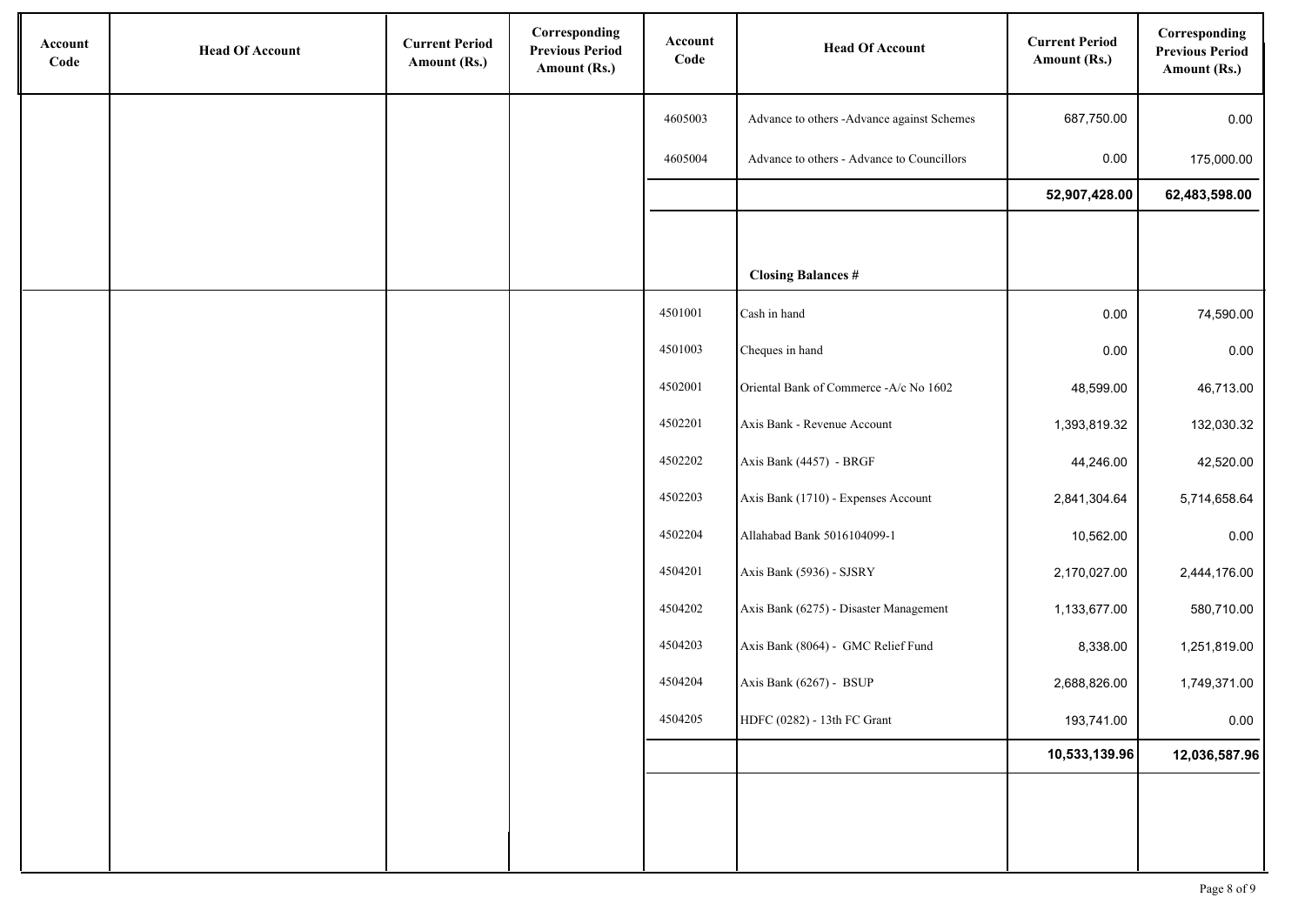| Account<br>Code | <b>Head Of Account</b> | <b>Current Period</b><br>Amount (Rs.) | Corresponding<br><b>Previous Period</b><br>Amount (Rs.) | Account<br>Code | <b>Head Of Account</b>                     | <b>Current Period</b><br>Amount (Rs.) | Corresponding<br><b>Previous Period</b><br>Amount (Rs.) |
|-----------------|------------------------|---------------------------------------|---------------------------------------------------------|-----------------|--------------------------------------------|---------------------------------------|---------------------------------------------------------|
|                 |                        |                                       |                                                         | 4605003         | Advance to others -Advance against Schemes | 687,750.00                            | 0.00                                                    |
|                 |                        |                                       |                                                         | 4605004         | Advance to others - Advance to Councillors | 0.00                                  | 175,000.00                                              |
|                 |                        |                                       |                                                         |                 |                                            | 52,907,428.00                         | 62,483,598.00                                           |
|                 |                        |                                       |                                                         |                 |                                            |                                       |                                                         |
|                 |                        |                                       |                                                         |                 | <b>Closing Balances #</b>                  |                                       |                                                         |
|                 |                        |                                       |                                                         | 4501001         | Cash in hand                               | 0.00                                  | 74,590.00                                               |
|                 |                        |                                       |                                                         | 4501003         | Cheques in hand                            | 0.00                                  | 0.00                                                    |
|                 |                        |                                       |                                                         | 4502001         | Oriental Bank of Commerce -A/c No 1602     | 48,599.00                             | 46,713.00                                               |
|                 |                        |                                       |                                                         | 4502201         | Axis Bank - Revenue Account                | 1,393,819.32                          | 132,030.32                                              |
|                 |                        |                                       |                                                         | 4502202         | Axis Bank (4457) - BRGF                    | 44,246.00                             | 42,520.00                                               |
|                 |                        |                                       |                                                         | 4502203         | Axis Bank (1710) - Expenses Account        | 2,841,304.64                          | 5,714,658.64                                            |
|                 |                        |                                       |                                                         | 4502204         | Allahabad Bank 5016104099-1                | 10,562.00                             | 0.00                                                    |
|                 |                        |                                       |                                                         | 4504201         | Axis Bank (5936) - SJSRY                   | 2,170,027.00                          | 2,444,176.00                                            |
|                 |                        |                                       |                                                         | 4504202         | Axis Bank (6275) - Disaster Management     | 1,133,677.00                          | 580,710.00                                              |
|                 |                        |                                       |                                                         | 4504203         | Axis Bank (8064) - GMC Relief Fund         | 8,338.00                              | 1,251,819.00                                            |
|                 |                        |                                       |                                                         | 4504204         | Axis Bank (6267) - BSUP                    | 2,688,826.00                          | 1,749,371.00                                            |
|                 |                        |                                       |                                                         | 4504205         | HDFC (0282) - 13th FC Grant                | 193,741.00                            | 0.00                                                    |
|                 |                        |                                       |                                                         |                 |                                            | 10,533,139.96                         | 12,036,587.96                                           |
|                 |                        |                                       |                                                         |                 |                                            |                                       |                                                         |
|                 |                        |                                       |                                                         |                 |                                            |                                       |                                                         |
|                 |                        |                                       |                                                         |                 |                                            |                                       |                                                         |